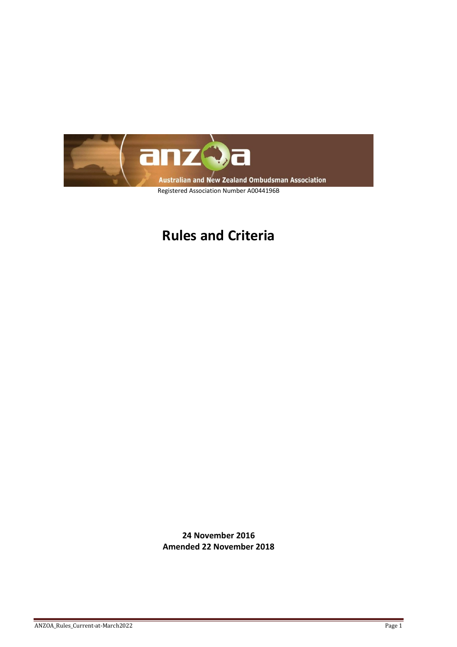

## **Rules and Criteria**

**24 November 2016 Amended 22 November 2018**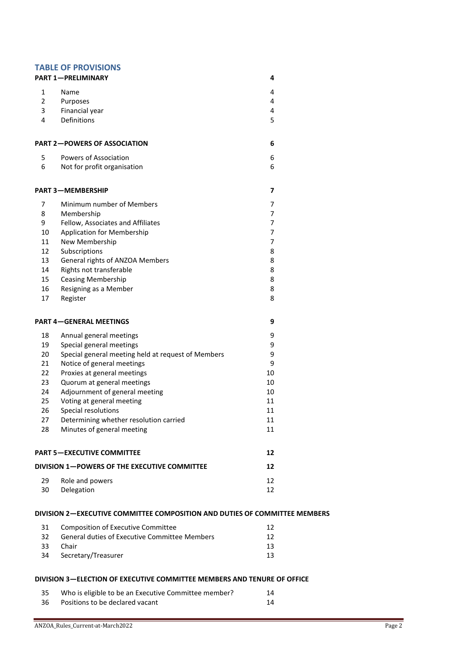|                                              | <b>TABLE OF PROVISIONS</b><br><b>PART 1-PRELIMINARY</b>                                    | 4        |  |
|----------------------------------------------|--------------------------------------------------------------------------------------------|----------|--|
|                                              |                                                                                            |          |  |
| $\mathbf{1}$                                 | Name                                                                                       | 4        |  |
| $\overline{2}$                               | Purposes                                                                                   | 4        |  |
| 3                                            | Financial year                                                                             | 4        |  |
| 4                                            | Definitions                                                                                | 5        |  |
|                                              | <b>PART 2-POWERS OF ASSOCIATION</b>                                                        | 6        |  |
| 5                                            | Powers of Association                                                                      | 6        |  |
| 6                                            | Not for profit organisation                                                                | 6        |  |
|                                              | <b>PART 3-MEMBERSHIP</b>                                                                   | 7        |  |
| $\overline{7}$                               | Minimum number of Members                                                                  | 7        |  |
| 8                                            | Membership                                                                                 | 7        |  |
| 9                                            | Fellow, Associates and Affiliates                                                          | 7        |  |
| 10                                           | <b>Application for Membership</b>                                                          | 7        |  |
| 11                                           | New Membership                                                                             | 7        |  |
| 12                                           | Subscriptions                                                                              | 8        |  |
| 13                                           | General rights of ANZOA Members                                                            | 8        |  |
| 14                                           | Rights not transferable                                                                    | 8        |  |
| 15                                           | <b>Ceasing Membership</b>                                                                  | 8        |  |
| 16                                           | Resigning as a Member                                                                      | 8        |  |
| 17                                           | Register                                                                                   | 8        |  |
|                                              | <b>PART 4-GENERAL MEETINGS</b>                                                             | 9        |  |
| 18                                           | Annual general meetings                                                                    | 9        |  |
| 19                                           | Special general meetings                                                                   | 9        |  |
| 20                                           | Special general meeting held at request of Members                                         | 9        |  |
| 21                                           | Notice of general meetings                                                                 | 9        |  |
| 22                                           | Proxies at general meetings                                                                | 10       |  |
| 23                                           | Quorum at general meetings                                                                 | 10       |  |
| 24                                           | Adjournment of general meeting                                                             | 10       |  |
| 25                                           | Voting at general meeting                                                                  | 11       |  |
| 26                                           | Special resolutions                                                                        | 11       |  |
| 27                                           | Determining whether resolution carried                                                     | 11       |  |
| 28                                           | Minutes of general meeting                                                                 | 11       |  |
| <b>PART 5-EXECUTIVE COMMITTEE</b>            |                                                                                            | 12       |  |
| DIVISION 1-POWERS OF THE EXECUTIVE COMMITTEE |                                                                                            | 12       |  |
| 29                                           | Role and powers                                                                            | 12       |  |
| 30                                           | Delegation                                                                                 | 12       |  |
|                                              | DIVISION 2-EXECUTIVE COMMITTEE COMPOSITION AND DUTIES OF COMMITTEE MEMBERS                 |          |  |
|                                              |                                                                                            |          |  |
| 31<br>32                                     | <b>Composition of Executive Committee</b><br>General duties of Executive Committee Members | 12<br>12 |  |
| 33                                           | Chair                                                                                      | 13       |  |
|                                              |                                                                                            |          |  |

# [Secretary/Treasurer 13](#page-12-1)

**DIVISION 3—[ELECTION OF EXECUTIVE COMMITTEE MEMBERS AND TENURE OF OFFICE](#page-13-0)**

## [Who is eligible to be an Executive Committee member? 14](#page-13-1) [Positions to be declared vacant 14](#page-13-2)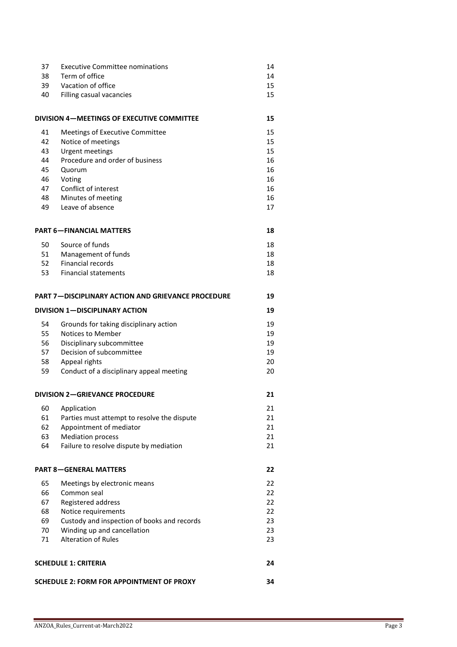| 37                                        | <b>Executive Committee nominations</b>                    | 14 |
|-------------------------------------------|-----------------------------------------------------------|----|
| 38                                        | Term of office                                            | 14 |
| 39                                        | Vacation of office                                        | 15 |
| 40                                        | Filling casual vacancies                                  | 15 |
|                                           |                                                           |    |
|                                           | DIVISION 4-MEETINGS OF EXECUTIVE COMMITTEE                | 15 |
| 41                                        | Meetings of Executive Committee                           | 15 |
| 42                                        | Notice of meetings                                        | 15 |
| 43                                        | <b>Urgent meetings</b>                                    | 15 |
| 44                                        | Procedure and order of business                           | 16 |
| 45                                        | Quorum                                                    | 16 |
| 46                                        | Voting                                                    | 16 |
| 47                                        | Conflict of interest                                      | 16 |
| 48                                        | Minutes of meeting                                        | 16 |
| 49                                        | Leave of absence                                          | 17 |
|                                           |                                                           |    |
|                                           | <b>PART 6-FINANCIAL MATTERS</b>                           | 18 |
| 50                                        | Source of funds                                           | 18 |
| 51                                        | Management of funds                                       | 18 |
| 52                                        | <b>Financial records</b>                                  | 18 |
| 53                                        | <b>Financial statements</b>                               | 18 |
|                                           |                                                           |    |
|                                           | <b>PART 7-DISCIPLINARY ACTION AND GRIEVANCE PROCEDURE</b> | 19 |
| <b>DIVISION 1-DISCIPLINARY ACTION</b>     |                                                           | 19 |
| 54                                        | Grounds for taking disciplinary action                    | 19 |
| 55                                        | Notices to Member                                         | 19 |
| 56                                        | Disciplinary subcommittee                                 | 19 |
| 57                                        | Decision of subcommittee                                  | 19 |
| 58                                        | Appeal rights                                             | 20 |
| 59                                        | Conduct of a disciplinary appeal meeting                  | 20 |
|                                           |                                                           |    |
| <b>DIVISION 2-GRIEVANCE PROCEDURE</b>     |                                                           | 21 |
| 60                                        | Application                                               | 21 |
| 61                                        | Parties must attempt to resolve the dispute               | 21 |
| 62                                        | Appointment of mediator                                   | 21 |
| 63                                        | <b>Mediation process</b>                                  | 21 |
| 64                                        | Failure to resolve dispute by mediation                   | 21 |
|                                           |                                                           |    |
| <b>PART 8-GENERAL MATTERS</b>             |                                                           | 22 |
| 65                                        | Meetings by electronic means                              | 22 |
| 66                                        | Common seal                                               | 22 |
| 67                                        | Registered address                                        | 22 |
| 68                                        | Notice requirements                                       | 22 |
| 69                                        | Custody and inspection of books and records               | 23 |
| 70                                        | Winding up and cancellation                               | 23 |
| 71                                        | <b>Alteration of Rules</b>                                | 23 |
|                                           |                                                           |    |
| <b>SCHEDULE 1: CRITERIA</b><br>24         |                                                           |    |
|                                           |                                                           |    |
| SCHEDULE 2: FORM FOR APPOINTMENT OF PROXY |                                                           |    |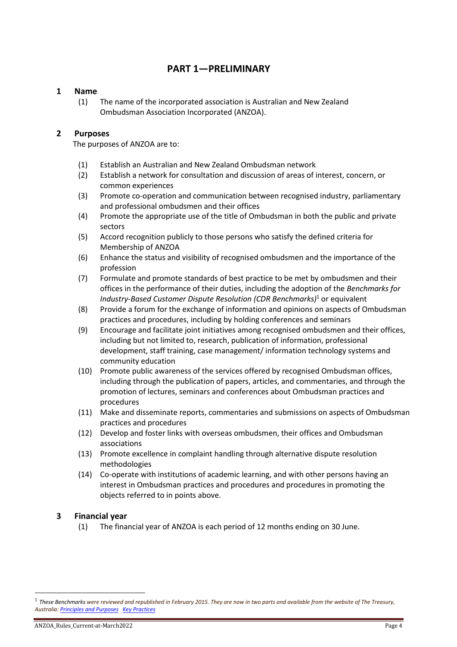## **PART 1—PRELIMINARY**

## <span id="page-3-0"></span>**1 Name**

<span id="page-3-1"></span>(1) The name of the incorporated association is Australian and New Zealand Ombudsman Association Incorporated (ANZOA).

## **2 Purposes**

<span id="page-3-2"></span>The purposes of ANZOA are to:

- (1) Establish an Australian and New Zealand Ombudsman network
- (2) Establish a network for consultation and discussion of areas of interest, concern, or common experiences
- (3) Promote co-operation and communication between recognised industry, parliamentary and professional ombudsmen and their offices
- (4) Promote the appropriate use of the title of Ombudsman in both the public and private sectors
- (5) Accord recognition publicly to those persons who satisfy the defined criteria for Membership of ANZOA
- (6) Enhance the status and visibility of recognised ombudsmen and the importance of the profession
- (7) Formulate and promote standards of best practice to be met by ombudsmen and their offices in the performance of their duties, including the adoption of the *Benchmarks for Industry-Based Customer Dispute Resolution (CDR Benchmarks)*<sup>1</sup> or equivalent
- (8) Provide a forum for the exchange of information and opinions on aspects of Ombudsman practices and procedures, including by holding conferences and seminars
- (9) Encourage and facilitate joint initiatives among recognised ombudsmen and their offices, including but not limited to, research, publication of information, professional development, staff training, case management/ information technology systems and community education
- (10) Promote public awareness of the services offered by recognised Ombudsman offices, including through the publication of papers, articles, and commentaries, and through the promotion of lectures, seminars and conferences about Ombudsman practices and procedures
- (11) Make and disseminate reports, commentaries and submissions on aspects of Ombudsman practices and procedures
- (12) Develop and foster links with overseas ombudsmen, their offices and Ombudsman associations
- (13) Promote excellence in complaint handling through alternative dispute resolution methodologies
- (14) Co-operate with institutions of academic learning, and with other persons having an interest in Ombudsman practices and procedures and procedures in promoting the objects referred to in points above.

## **3 Financial year**

<span id="page-3-3"></span>(1) The financial year of ANZOA is each period of 12 months ending on 30 June.

<sup>1</sup> *These Benchmarks were reviewed and republished in February 2015. They are now in two parts and available from the website of The Treasury, Australia[: Principles and Purposes](http://www.treasury.gov.au/PublicationsAndMedia/Publications/2015/benchmarks-ind-cust-dispute-reso) [Key Practices](http://www.treasury.gov.au/PublicationsAndMedia/Publications/2015/key-pract-ind-cust-dis-reso)*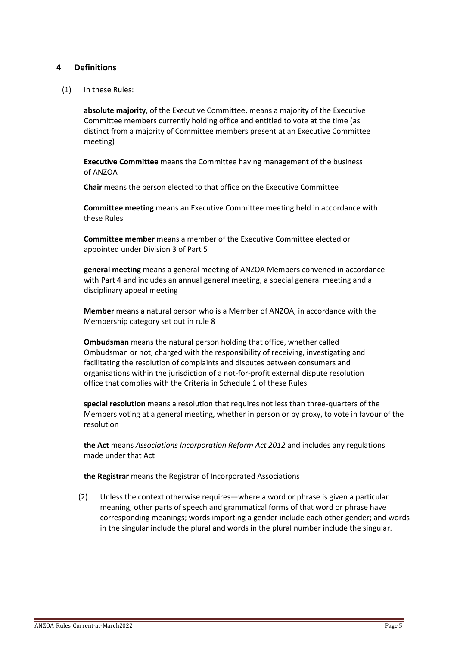## <span id="page-4-0"></span>**4 Definitions**

(1) In these Rules:

**absolute majority**, of the Executive Committee, means a majority of the Executive Committee members currently holding office and entitled to vote at the time (as distinct from a majority of Committee members present at an Executive Committee meeting)

**Executive Committee** means the Committee having management of the business of ANZOA

**Chair** means the person elected to that office on the Executive Committee

**Committee meeting** means an Executive Committee meeting held in accordance with these Rules

**Committee member** means a member of the Executive Committee elected or appointed under Division 3 of Part 5

**general meeting** means a general meeting of ANZOA Members convened in accordance with Part 4 and includes an annual general meeting, a special general meeting and a disciplinary appeal meeting

**Member** means a natural person who is a Member of ANZOA, in accordance with the Membership category set out in rule 8

**Ombudsman** means the natural person holding that office, whether called Ombudsman or not, charged with the responsibility of receiving, investigating and facilitating the resolution of complaints and disputes between consumers and organisations within the jurisdiction of a not-for-profit external dispute resolution office that complies with the Criteria in Schedule 1 of these Rules.

**special resolution** means a resolution that requires not less than three-quarters of the Members voting at a general meeting, whether in person or by proxy, to vote in favour of the resolution

**the Act** means *Associations Incorporation Reform Act 2012* and includes any regulations made under that Act

**the Registrar** means the Registrar of Incorporated Associations

(2) Unless the context otherwise requires—where a word or phrase is given a particular meaning, other parts of speech and grammatical forms of that word or phrase have corresponding meanings; words importing a gender include each other gender; and words in the singular include the plural and words in the plural number include the singular.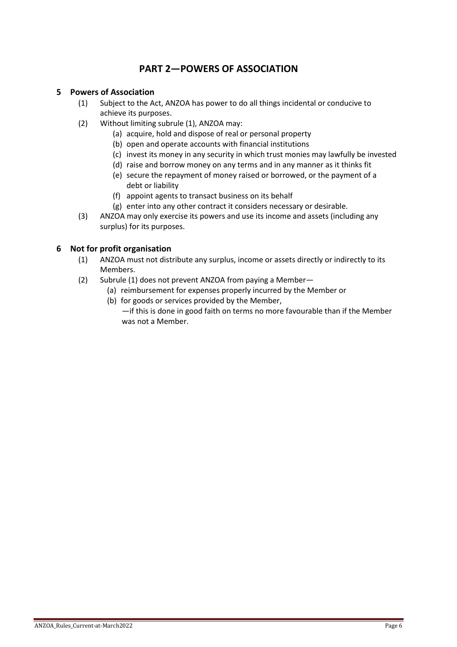## **PART 2—POWERS OF ASSOCIATION**

## <span id="page-5-1"></span><span id="page-5-0"></span>**5 Powers of Association**

- (1) Subject to the Act, ANZOA has power to do all things incidental or conducive to achieve its purposes.
- (2) Without limiting subrule (1), ANZOA may:
	- (a) acquire, hold and dispose of real or personal property
	- (b) open and operate accounts with financial institutions
	- (c) invest its money in any security in which trust monies may lawfully be invested
	- (d) raise and borrow money on any terms and in any manner as it thinks fit
	- (e) secure the repayment of money raised or borrowed, or the payment of a debt or liability
	- (f) appoint agents to transact business on its behalf
	- (g) enter into any other contract it considers necessary or desirable.
- (3) ANZOA may only exercise its powers and use its income and assets (including any surplus) for its purposes.

## <span id="page-5-2"></span>**6 Not for profit organisation**

- (1) ANZOA must not distribute any surplus, income or assets directly or indirectly to its Members.
- (2) Subrule (1) does not prevent ANZOA from paying a Member—
	- (a) reimbursement for expenses properly incurred by the Member or
		- (b) for goods or services provided by the Member, —if this is done in good faith on terms no more favourable than if the Member was not a Member.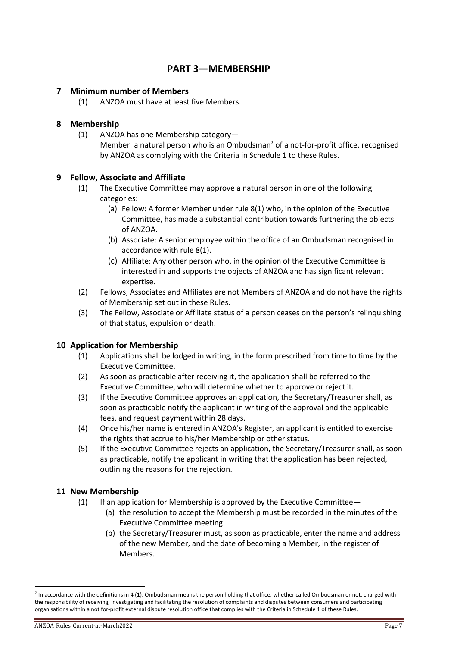## **PART 3—MEMBERSHIP**

## <span id="page-6-1"></span><span id="page-6-0"></span>**7 Minimum number of Members**

(1) ANZOA must have at least five Members.

## <span id="page-6-2"></span>**8 Membership**

(1) ANZOA has one Membership category— Member: a natural person who is an Ombudsman<sup>2</sup> of a not-for-profit office, recognised by ANZOA as complying with the Criteria in Schedule 1 to these Rules.

## <span id="page-6-3"></span>**9 Fellow, Associate and Affiliate**

- (1) The Executive Committee may approve a natural person in one of the following categories:
	- (a) Fellow: A former Member under rule 8(1) who, in the opinion of the Executive Committee, has made a substantial contribution towards furthering the objects of ANZOA.
	- (b) Associate: A senior employee within the office of an Ombudsman recognised in accordance with rule 8(1).
	- (c) Affiliate: Any other person who, in the opinion of the Executive Committee is interested in and supports the objects of ANZOA and has significant relevant expertise.
- (2) Fellows, Associates and Affiliates are not Members of ANZOA and do not have the rights of Membership set out in these Rules.
- (3) The Fellow, Associate or Affiliate status of a person ceases on the person's relinquishing of that status, expulsion or death.

## <span id="page-6-4"></span>**10 Application for Membership**

- (1) Applications shall be lodged in writing, in the form prescribed from time to time by the Executive Committee.
- (2) As soon as practicable after receiving it, the application shall be referred to the Executive Committee, who will determine whether to approve or reject it.
- (3) If the Executive Committee approves an application, the Secretary/Treasurer shall, as soon as practicable notify the applicant in writing of the approval and the applicable fees, and request payment within 28 days.
- (4) Once his/her name is entered in ANZOA's Register, an applicant is entitled to exercise the rights that accrue to his/her Membership or other status.
- (5) If the Executive Committee rejects an application, the Secretary/Treasurer shall, as soon as practicable, notify the applicant in writing that the application has been rejected, outlining the reasons for the rejection.

## <span id="page-6-5"></span>**11 New Membership**

- (1) If an application for Membership is approved by the Executive Committee—
	- (a) the resolution to accept the Membership must be recorded in the minutes of the Executive Committee meeting
	- (b) the Secretary/Treasurer must, as soon as practicable, enter the name and address of the new Member, and the date of becoming a Member, in the register of Members.

 $^2$  In accordance with the definitions in 4 (1), Ombudsman means the person holding that office, whether called Ombudsman or not, charged with the responsibility of receiving, investigating and facilitating the resolution of complaints and disputes between consumers and participating organisations within a not for-profit external dispute resolution office that complies with the Criteria in Schedule 1 of these Rules.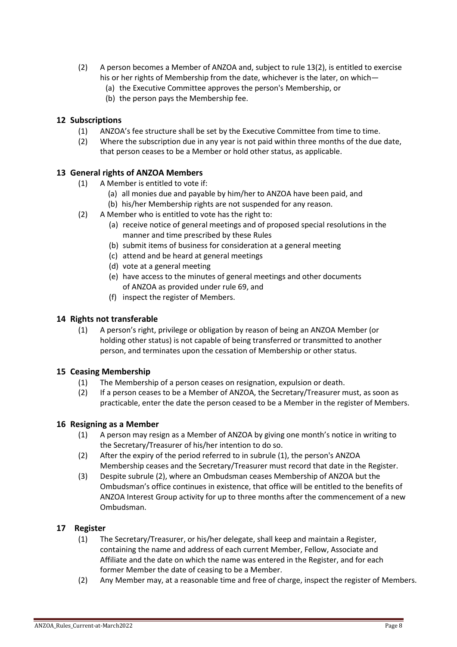- (2) A person becomes a Member of ANZOA and, subject to rule 13(2), is entitled to exercise his or her rights of Membership from the date, whichever is the later, on which—
	- (a) the Executive Committee approves the person's Membership, or
	- (b) the person pays the Membership fee.

## <span id="page-7-0"></span>**12 Subscriptions**

- (1) ANZOA's fee structure shall be set by the Executive Committee from time to time.
- (2) Where the subscription due in any year is not paid within three months of the due date, that person ceases to be a Member or hold other status, as applicable.

## **13 General rights of ANZOA Members**

- (1) A Member is entitled to vote if:
	- (a) all monies due and payable by him/her to ANZOA have been paid, and (b) his/her Membership rights are not suspended for any reason.
- (2) A Member who is entitled to vote has the right to:
	- (a) receive notice of general meetings and of proposed special resolutions in the manner and time prescribed by these Rules
	- (b) submit items of business for consideration at a general meeting
	- (c) attend and be heard at general meetings
	- (d) vote at a general meeting
	- (e) have access to the minutes of general meetings and other documents of ANZOA as provided under rule 69, and
	- (f) inspect the register of Members.

## <span id="page-7-1"></span>**14 Rights not transferable**

(1) A person's right, privilege or obligation by reason of being an ANZOA Member (or holding other status) is not capable of being transferred or transmitted to another person, and terminates upon the cessation of Membership or other status.

### <span id="page-7-2"></span>**15 Ceasing Membership**

- (1) The Membership of a person ceases on resignation, expulsion or death.
- (2) If a person ceases to be a Member of ANZOA, the Secretary/Treasurer must, as soon as practicable, enter the date the person ceased to be a Member in the register of Members.

### <span id="page-7-5"></span><span id="page-7-3"></span>**16 Resigning as a Member**

- (1) A person may resign as a Member of ANZOA by giving one month's notice in writing to the Secretary/Treasurer of his/her intention to do so.
- (2) After the expiry of the period referred to in subrule (1), the person's ANZOA Membership ceases and the Secretary/Treasurer must record that date in the Register.
- (3) Despite subrule [\(2\),](#page-7-5) where an Ombudsman ceases Membership of ANZOA but the Ombudsman's office continues in existence, that office will be entitled to the benefits of ANZOA Interest Group activity for up to three months after the commencement of a new Ombudsman.

### **17 Register**

- <span id="page-7-4"></span>(1) The Secretary/Treasurer, or his/her delegate, shall keep and maintain a Register, containing the name and address of each current Member, Fellow, Associate and Affiliate and the date on which the name was entered in the Register, and for each former Member the date of ceasing to be a Member.
- (2) Any Member may, at a reasonable time and free of charge, inspect the register of Members.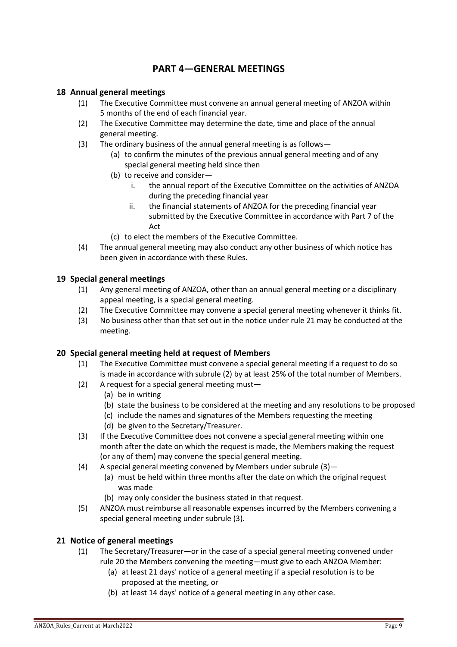## **PART 4—GENERAL MEETINGS**

## <span id="page-8-1"></span><span id="page-8-0"></span>**18 Annual general meetings**

- (1) The Executive Committee must convene an annual general meeting of ANZOA within 5 months of the end of each financial year.
- (2) The Executive Committee may determine the date, time and place of the annual general meeting.
- (3) The ordinary business of the annual general meeting is as follows—
	- (a) to confirm the minutes of the previous annual general meeting and of any special general meeting held since then
	- (b) to receive and consider
		- i. the annual report of the Executive Committee on the activities of ANZOA during the preceding financial year
		- ii. the financial statements of ANZOA for the preceding financial year submitted by the Executive Committee in accordance with Part 7 of the **Act**
	- (c) to elect the members of the Executive Committee.
- (4) The annual general meeting may also conduct any other business of which notice has been given in accordance with these Rules.

## <span id="page-8-2"></span>**19 Special general meetings**

- (1) Any general meeting of ANZOA, other than an annual general meeting or a disciplinary appeal meeting, is a special general meeting.
- (2) The Executive Committee may convene a special general meeting whenever it thinks fit.
- (3) No business other than that set out in the notice under rule 21 may be conducted at the meeting.

## <span id="page-8-3"></span>**20 Special general meeting held at request of Members**

- (1) The Executive Committee must convene a special general meeting if a request to do so is made in accordance with subrule (2) by at least 25% of the total number of Members.
- (2) A request for a special general meeting must—
	- (a) be in writing
	- (b) state the business to be considered at the meeting and any resolutions to be proposed
	- (c) include the names and signatures of the Members requesting the meeting
	- (d) be given to the Secretary/Treasurer.
- (3) If the Executive Committee does not convene a special general meeting within one month after the date on which the request is made, the Members making the request (or any of them) may convene the special general meeting.
- (4) A special general meeting convened by Members under subrule (3)—
	- (a) must be held within three months after the date on which the original request was made
	- (b) may only consider the business stated in that request.
- (5) ANZOA must reimburse all reasonable expenses incurred by the Members convening a special general meeting under subrule (3).

## <span id="page-8-4"></span>**21 Notice of general meetings**

- (1) The Secretary/Treasurer—or in the case of a special general meeting convened under rule 20 the Members convening the meeting—must give to each ANZOA Member:
	- (a) at least 21 days' notice of a general meeting if a special resolution is to be proposed at the meeting, or
	- (b) at least 14 days' notice of a general meeting in any other case.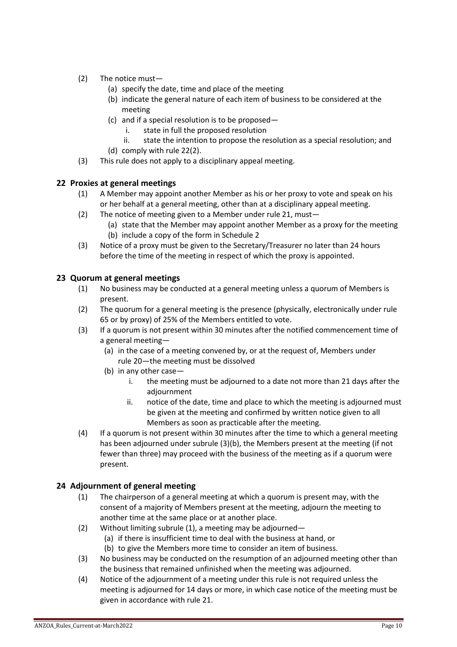- (2) The notice must—
	- (a) specify the date, time and place of the meeting
	- (b) indicate the general nature of each item of business to be considered at the meeting
	- (c) and if a special resolution is to be proposed
		- i. state in full the proposed resolution
	- ii. state the intention to propose the resolution as a special resolution; and (d) comply with rule 22(2).
- (3) This rule does not apply to a disciplinary appeal meeting.

## <span id="page-9-0"></span>**22 Proxies at general meetings**

- (1) A Member may appoint another Member as his or her proxy to vote and speak on his or her behalf at a general meeting, other than at a disciplinary appeal meeting.
- (2) The notice of meeting given to a Member under rule 21, must—
	- (a) state that the Member may appoint another Member as a proxy for the meeting (b) include a copy of the form in Schedule 2
- (3) Notice of a proxy must be given to the Secretary/Treasurer no later than 24 hours before the time of the meeting in respect of which the proxy is appointed.

## <span id="page-9-1"></span>**23 Quorum at general meetings**

- (1) No business may be conducted at a general meeting unless a quorum of Members is present.
- (2) The quorum for a general meeting is the presence (physically, electronically under rule 65 or by proxy) of 25% of the Members entitled to vote.
- (3) If a quorum is not present within 30 minutes after the notified commencement time of a general meeting—
	- (a) in the case of a meeting convened by, or at the request of, Members under rule 20—the meeting must be dissolved
	- (b) in any other case
		- i. the meeting must be adjourned to a date not more than 21 days after the adjournment
		- ii. notice of the date, time and place to which the meeting is adjourned must be given at the meeting and confirmed by written notice given to all Members as soon as practicable after the meeting.
- (4) If a quorum is not present within 30 minutes after the time to which a general meeting has been adjourned under subrule (3)(b), the Members present at the meeting (if not fewer than three) may proceed with the business of the meeting as if a quorum were present.

## <span id="page-9-2"></span>**24 Adjournment of general meeting**

- (1) The chairperson of a general meeting at which a quorum is present may, with the consent of a majority of Members present at the meeting, adjourn the meeting to another time at the same place or at another place.
- (2) Without limiting subrule (1), a meeting may be adjourned—
	- (a) if there is insufficient time to deal with the business at hand, or
	- (b) to give the Members more time to consider an item of business.
- (3) No business may be conducted on the resumption of an adjourned meeting other than the business that remained unfinished when the meeting was adjourned.
- (4) Notice of the adjournment of a meeting under this rule is not required unless the meeting is adjourned for 14 days or more, in which case notice of the meeting must be given in accordance with rule 21.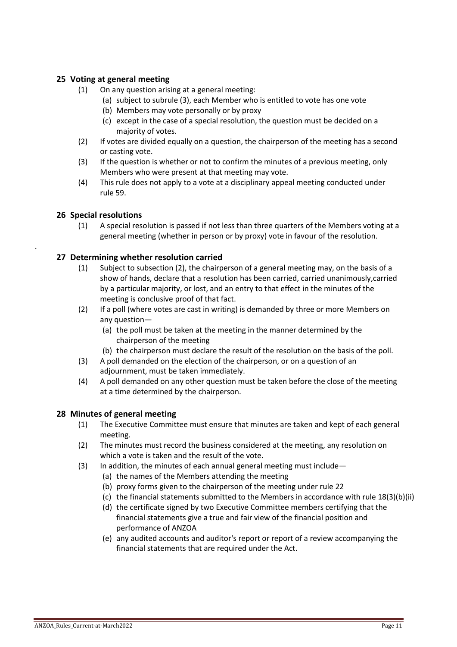## <span id="page-10-0"></span>**25 Voting at general meeting**

- (1) On any question arising at a general meeting:
	- (a) subject to subrule (3), each Member who is entitled to vote has one vote
	- (b) Members may vote personally or by proxy
	- (c) except in the case of a special resolution, the question must be decided on a majority of votes.
- (2) If votes are divided equally on a question, the chairperson of the meeting has a second or casting vote.
- (3) If the question is whether or not to confirm the minutes of a previous meeting, only Members who were present at that meeting may vote.
- (4) This rule does not apply to a vote at a disciplinary appeal meeting conducted under rule 59.

## <span id="page-10-1"></span>**26 Special resolutions**

<span id="page-10-2"></span>.

(1) A special resolution is passed if not less than three quarters of the Members voting at a general meeting (whether in person or by proxy) vote in favour of the resolution.

## **27 Determining whether resolution carried**

- (1) Subject to subsection (2), the chairperson of a general meeting may, on the basis of a show of hands, declare that a resolution has been carried, carried unanimously,carried by a particular majority, or lost, and an entry to that effect in the minutes of the meeting is conclusive proof of that fact.
- (2) If a poll (where votes are cast in writing) is demanded by three or more Members on any question—
	- (a) the poll must be taken at the meeting in the manner determined by the chairperson of the meeting
	- (b) the chairperson must declare the result of the resolution on the basis of the poll.
- (3) A poll demanded on the election of the chairperson, or on a question of an adjournment, must be taken immediately.
- (4) A poll demanded on any other question must be taken before the close of the meeting at a time determined by the chairperson.

## <span id="page-10-3"></span>**28 Minutes of general meeting**

- (1) The Executive Committee must ensure that minutes are taken and kept of each general meeting.
- (2) The minutes must record the business considered at the meeting, any resolution on which a vote is taken and the result of the vote.
- (3) In addition, the minutes of each annual general meeting must include—
	- (a) the names of the Members attending the meeting
	- (b) proxy forms given to the chairperson of the meeting under rule 22
	- (c) the financial statements submitted to the Members in accordance with rule 18(3)(b)(ii)
	- (d) the certificate signed by two Executive Committee members certifying that the financial statements give a true and fair view of the financial position and performance of ANZOA
	- (e) any audited accounts and auditor's report or report of a review accompanying the financial statements that are required under the Act.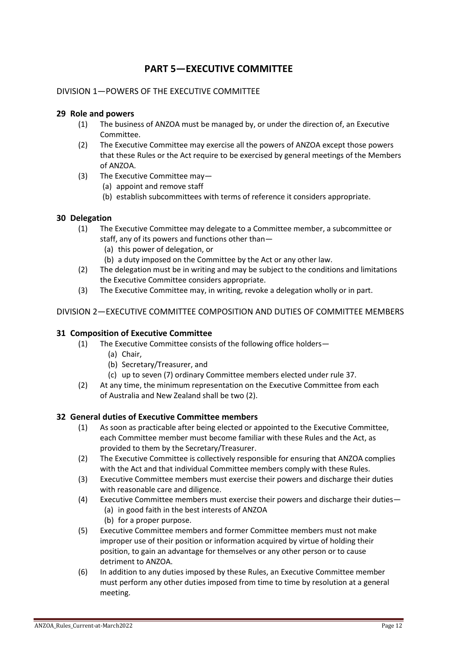## **PART 5—EXECUTIVE COMMITTEE**

## <span id="page-11-1"></span><span id="page-11-0"></span>DIVISION 1—POWERS OF THE EXECUTIVE COMMITTEE

## <span id="page-11-2"></span>**29 Role and powers**

- (1) The business of ANZOA must be managed by, or under the direction of, an Executive Committee.
- (2) The Executive Committee may exercise all the powers of ANZOA except those powers that these Rules or the Act require to be exercised by general meetings of the Members of ANZOA.
- (3) The Executive Committee may—
	- (a) appoint and remove staff
	- (b) establish subcommittees with terms of reference it considers appropriate.

## <span id="page-11-3"></span>**30 Delegation**

- (1) The Executive Committee may delegate to a Committee member, a subcommittee or staff, any of its powers and functions other than—
	- (a) this power of delegation, or
	- (b) a duty imposed on the Committee by the Act or any other law.
- (2) The delegation must be in writing and may be subject to the conditions and limitations the Executive Committee considers appropriate.
- (3) The Executive Committee may, in writing, revoke a delegation wholly or in part.

## <span id="page-11-4"></span>DIVISION 2—EXECUTIVE COMMITTEE COMPOSITION AND DUTIES OF COMMITTEE MEMBERS

### <span id="page-11-5"></span>**31 Composition of Executive Committee**

- (1) The Executive Committee consists of the following office holders—
	- (a) Chair,
	- (b) Secretary/Treasurer, and
	- (c) up to seven (7) ordinary Committee members elected under rule 37.
- (2) At any time, the minimum representation on the Executive Committee from each of Australia and New Zealand shall be two (2).

### <span id="page-11-6"></span>**32 General duties of Executive Committee members**

- (1) As soon as practicable after being elected or appointed to the Executive Committee, each Committee member must become familiar with these Rules and the Act, as provided to them by the Secretary/Treasurer.
- (2) The Executive Committee is collectively responsible for ensuring that ANZOA complies with the Act and that individual Committee members comply with these Rules.
- (3) Executive Committee members must exercise their powers and discharge their duties with reasonable care and diligence.
- (4) Executive Committee members must exercise their powers and discharge their duties— (a) in good faith in the best interests of ANZOA
	- (b) for a proper purpose.
- (5) Executive Committee members and former Committee members must not make improper use of their position or information acquired by virtue of holding their position, to gain an advantage for themselves or any other person or to cause detriment to ANZOA.
- (6) In addition to any duties imposed by these Rules, an Executive Committee member must perform any other duties imposed from time to time by resolution at a general meeting.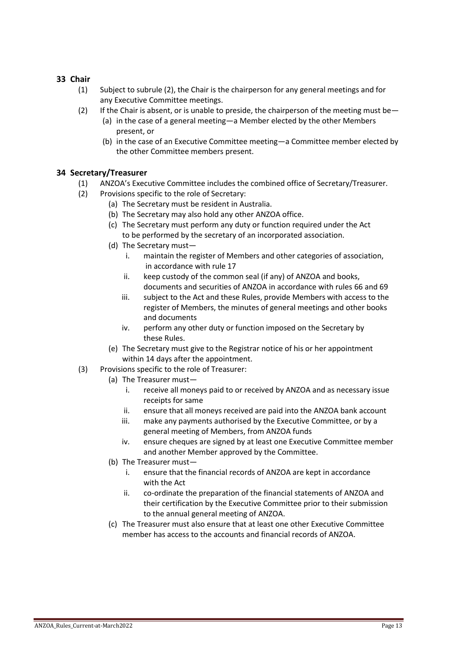## <span id="page-12-0"></span>**33 Chair**

- (1) Subject to subrule (2), the Chair is the chairperson for any general meetings and for any Executive Committee meetings.
- (2) If the Chair is absent, or is unable to preside, the chairperson of the meeting must be—
	- (a) in the case of a general meeting—a Member elected by the other Members present, or
	- (b) in the case of an Executive Committee meeting—a Committee member elected by the other Committee members present.

## <span id="page-12-1"></span>**34 Secretary/Treasurer**

- (1) ANZOA's Executive Committee includes the combined office of Secretary/Treasurer.
- (2) Provisions specific to the role of Secretary:
	- (a) The Secretary must be resident in Australia.
	- (b) The Secretary may also hold any other ANZOA office.
	- (c) The Secretary must perform any duty or function required under the Act to be performed by the secretary of an incorporated association.
	- (d) The Secretary must
		- i. maintain the register of Members and other categories of association, in accordance with rule 17
		- ii. keep custody of the common seal (if any) of ANZOA and books, documents and securities of ANZOA in accordance with rules 66 and 69
		- iii. subject to the Act and these Rules, provide Members with access to the register of Members, the minutes of general meetings and other books and documents
		- iv. perform any other duty or function imposed on the Secretary by these Rules.
	- (e) The Secretary must give to the Registrar notice of his or her appointment within 14 days after the appointment.
- (3) Provisions specific to the role of Treasurer:
	- (a) The Treasurer must
		- i. receive all moneys paid to or received by ANZOA and as necessary issue receipts for same
		- ii. ensure that all moneys received are paid into the ANZOA bank account
		- iii. make any payments authorised by the Executive Committee, or by a general meeting of Members, from ANZOA funds
		- iv. ensure cheques are signed by at least one Executive Committee member and another Member approved by the Committee.
	- (b) The Treasurer must
		- i. ensure that the financial records of ANZOA are kept in accordance with the Act
		- ii. co-ordinate the preparation of the financial statements of ANZOA and their certification by the Executive Committee prior to their submission to the annual general meeting of ANZOA.
	- (c) The Treasurer must also ensure that at least one other Executive Committee member has access to the accounts and financial records of ANZOA.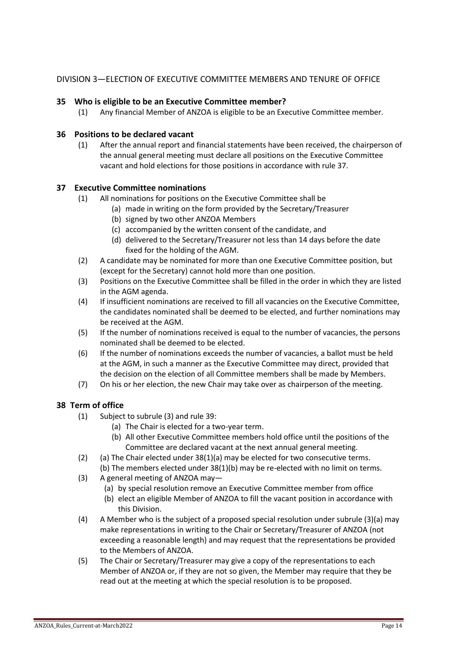## <span id="page-13-0"></span>DIVISION 3—ELECTION OF EXECUTIVE COMMITTEE MEMBERS AND TENURE OF OFFICE

## **35 Who is eligible to be an Executive Committee member?**

<span id="page-13-1"></span>(1) Any financial Member of ANZOA is eligible to be an Executive Committee member.

## **36 Positions to be declared vacant**

<span id="page-13-2"></span>(1) After the annual report and financial statements have been received, the chairperson of the annual general meeting must declare all positions on the Executive Committee vacant and hold elections for those positions in accordance with rule 37.

## **37 Executive Committee nominations**

- <span id="page-13-3"></span>(1) All nominations for positions on the Executive Committee shall be
	- (a) made in writing on the form provided by the Secretary/Treasurer
		- (b) signed by two other ANZOA Members
		- (c) accompanied by the written consent of the candidate, and
		- (d) delivered to the Secretary/Treasurer not less than 14 days before the date fixed for the holding of the AGM.
- (2) A candidate may be nominated for more than one Executive Committee position, but (except for the Secretary) cannot hold more than one position.
- (3) Positions on the Executive Committee shall be filled in the order in which they are listed in the AGM agenda.
- (4) If insufficient nominations are received to fill all vacancies on the Executive Committee, the candidates nominated shall be deemed to be elected, and further nominations may be received at the AGM.
- (5) If the number of nominations received is equal to the number of vacancies, the persons nominated shall be deemed to be elected.
- (6) If the number of nominations exceeds the number of vacancies, a ballot must be held at the AGM, in such a manner as the Executive Committee may direct, provided that the decision on the election of all Committee members shall be made by Members.
- (7) On his or her election, the new Chair may take over as chairperson of the meeting.

## <span id="page-13-4"></span>**38 Term of office**

- (1) Subject to subrule (3) and rule 39:
	- (a) The Chair is elected for a two-year term.
	- (b) All other Executive Committee members hold office until the positions of the Committee are declared vacant at the next annual general meeting.
- (2) (a) The Chair elected under  $38(1)(a)$  may be elected for two consecutive terms. (b) The members elected under 38(1)(b) may be re-elected with no limit on terms.
- (3) A general meeting of ANZOA may—
	- (a) by special resolution remove an Executive Committee member from office
	- (b) elect an eligible Member of ANZOA to fill the vacant position in accordance with this Division.
- (4) A Member who is the subject of a proposed special resolution under subrule (3)(a) may make representations in writing to the Chair or Secretary/Treasurer of ANZOA (not exceeding a reasonable length) and may request that the representations be provided to the Members of ANZOA.
- (5) The Chair or Secretary/Treasurer may give a copy of the representations to each Member of ANZOA or, if they are not so given, the Member may require that they be read out at the meeting at which the special resolution is to be proposed.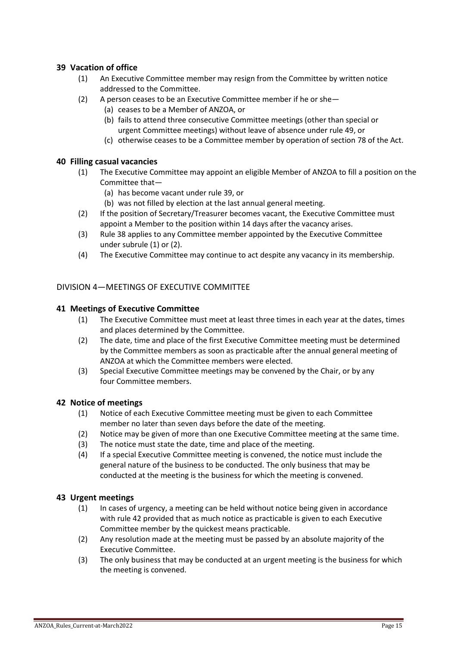## <span id="page-14-0"></span>**39 Vacation of office**

- (1) An Executive Committee member may resign from the Committee by written notice addressed to the Committee.
- (2) A person ceases to be an Executive Committee member if he or she—
	- (a) ceases to be a Member of ANZOA, or
	- (b) fails to attend three consecutive Committee meetings (other than special or urgent Committee meetings) without leave of absence under rule 49, or
	- (c) otherwise ceases to be a Committee member by operation of section 78 of the Act.

## <span id="page-14-1"></span>**40 Filling casual vacancies**

- (1) The Executive Committee may appoint an eligible Member of ANZOA to fill a position on the Committee that—
	- (a) has become vacant under rule 39, or
	- (b) was not filled by election at the last annual general meeting.
- (2) If the position of Secretary/Treasurer becomes vacant, the Executive Committee must appoint a Member to the position within 14 days after the vacancy arises.
- (3) Rule 38 applies to any Committee member appointed by the Executive Committee under subrule (1) or (2).
- (4) The Executive Committee may continue to act despite any vacancy in its membership.

## <span id="page-14-2"></span>DIVISION 4—MEETINGS OF EXECUTIVE COMMITTEE

## <span id="page-14-3"></span>**41 Meetings of Executive Committee**

- (1) The Executive Committee must meet at least three times in each year at the dates, times and places determined by the Committee.
- (2) The date, time and place of the first Executive Committee meeting must be determined by the Committee members as soon as practicable after the annual general meeting of ANZOA at which the Committee members were elected.
- (3) Special Executive Committee meetings may be convened by the Chair, or by any four Committee members.

### <span id="page-14-4"></span>**42 Notice of meetings**

- (1) Notice of each Executive Committee meeting must be given to each Committee member no later than seven days before the date of the meeting.
- (2) Notice may be given of more than one Executive Committee meeting at the same time.
- (3) The notice must state the date, time and place of the meeting.
- (4) If a special Executive Committee meeting is convened, the notice must include the general nature of the business to be conducted. The only business that may be conducted at the meeting is the business for which the meeting is convened.

### <span id="page-14-5"></span>**43 Urgent meetings**

- (1) In cases of urgency, a meeting can be held without notice being given in accordance with rule 42 provided that as much notice as practicable is given to each Executive Committee member by the quickest means practicable.
- (2) Any resolution made at the meeting must be passed by an absolute majority of the Executive Committee.
- (3) The only business that may be conducted at an urgent meeting is the business for which the meeting is convened.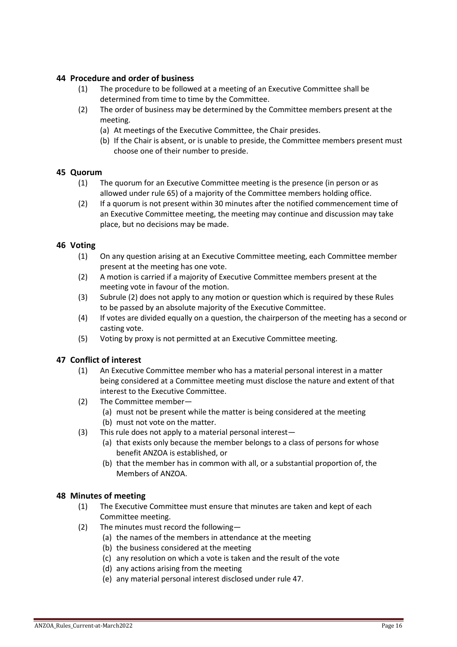## <span id="page-15-0"></span>**44 Procedure and order of business**

- (1) The procedure to be followed at a meeting of an Executive Committee shall be determined from time to time by the Committee.
- (2) The order of business may be determined by the Committee members present at the meeting.
	- (a) At meetings of the Executive Committee, the Chair presides.
	- (b) If the Chair is absent, or is unable to preside, the Committee members present must choose one of their number to preside.

## <span id="page-15-1"></span>**45 Quorum**

- (1) The quorum for an Executive Committee meeting is the presence (in person or as allowed under rule 65) of a majority of the Committee members holding office.
- (2) If a quorum is not present within 30 minutes after the notified commencement time of an Executive Committee meeting, the meeting may continue and discussion may take place, but no decisions may be made.

## <span id="page-15-2"></span>**46 Voting**

- (1) On any question arising at an Executive Committee meeting, each Committee member present at the meeting has one vote.
- (2) A motion is carried if a majority of Executive Committee members present at the meeting vote in favour of the motion.
- (3) Subrule (2) does not apply to any motion or question which is required by these Rules to be passed by an absolute majority of the Executive Committee.
- (4) If votes are divided equally on a question, the chairperson of the meeting has a second or casting vote.
- (5) Voting by proxy is not permitted at an Executive Committee meeting.

## <span id="page-15-3"></span>**47 Conflict of interest**

- (1) An Executive Committee member who has a material personal interest in a matter being considered at a Committee meeting must disclose the nature and extent of that interest to the Executive Committee.
- (2) The Committee member—
	- (a) must not be present while the matter is being considered at the meeting
	- (b) must not vote on the matter.
- (3) This rule does not apply to a material personal interest—
	- (a) that exists only because the member belongs to a class of persons for whose benefit ANZOA is established, or
	- (b) that the member has in common with all, or a substantial proportion of, the Members of ANZOA.

## <span id="page-15-4"></span>**48 Minutes of meeting**

- (1) The Executive Committee must ensure that minutes are taken and kept of each Committee meeting.
- (2) The minutes must record the following—
	- (a) the names of the members in attendance at the meeting
	- (b) the business considered at the meeting
	- (c) any resolution on which a vote is taken and the result of the vote
	- (d) any actions arising from the meeting
	- (e) any material personal interest disclosed under rule 47.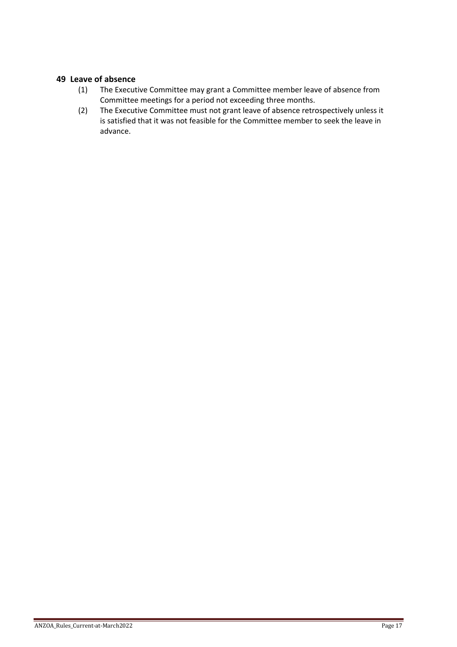## <span id="page-16-0"></span>**49 Leave of absence**

- (1) The Executive Committee may grant a Committee member leave of absence from Committee meetings for a period not exceeding three months.
- (2) The Executive Committee must not grant leave of absence retrospectively unless it is satisfied that it was not feasible for the Committee member to seek the leave in advance.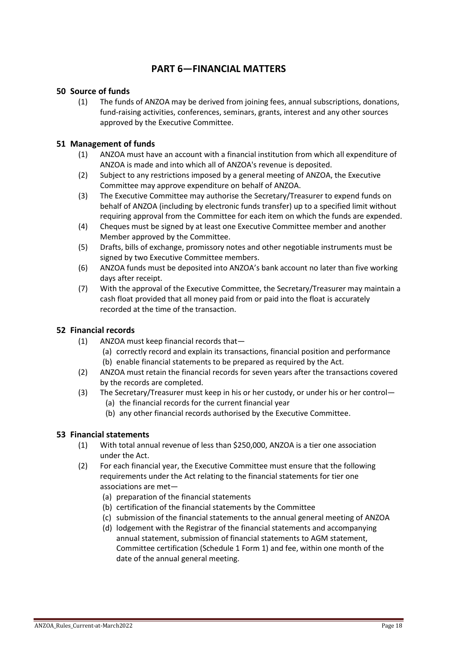## **PART 6—FINANCIAL MATTERS**

## <span id="page-17-1"></span><span id="page-17-0"></span>**50 Source of funds**

(1) The funds of ANZOA may be derived from joining fees, annual subscriptions, donations, fund-raising activities, conferences, seminars, grants, interest and any other sources approved by the Executive Committee.

## <span id="page-17-2"></span>**51 Management of funds**

- (1) ANZOA must have an account with a financial institution from which all expenditure of ANZOA is made and into which all of ANZOA's revenue is deposited.
- (2) Subject to any restrictions imposed by a general meeting of ANZOA, the Executive Committee may approve expenditure on behalf of ANZOA.
- (3) The Executive Committee may authorise the Secretary/Treasurer to expend funds on behalf of ANZOA (including by electronic funds transfer) up to a specified limit without requiring approval from the Committee for each item on which the funds are expended.
- (4) Cheques must be signed by at least one Executive Committee member and another Member approved by the Committee.
- (5) Drafts, bills of exchange, promissory notes and other negotiable instruments must be signed by two Executive Committee members.
- (6) ANZOA funds must be deposited into ANZOA's bank account no later than five working days after receipt.
- (7) With the approval of the Executive Committee, the Secretary/Treasurer may maintain a cash float provided that all money paid from or paid into the float is accurately recorded at the time of the transaction.

## <span id="page-17-3"></span>**52 Financial records**

- (1) ANZOA must keep financial records that—
	- (a) correctly record and explain its transactions, financial position and performance (b) enable financial statements to be prepared as required by the Act.
- (2) ANZOA must retain the financial records for seven years after the transactions covered by the records are completed.
- (3) The Secretary/Treasurer must keep in his or her custody, or under his or her control—
	- (a) the financial records for the current financial year
	- (b) any other financial records authorised by the Executive Committee.

## <span id="page-17-4"></span>**53 Financial statements**

- (1) With total annual revenue of less than \$250,000, ANZOA is a tier one association under the Act.
- (2) For each financial year, the Executive Committee must ensure that the following requirements under the Act relating to the financial statements for tier one associations are met—
	- (a) preparation of the financial statements
	- (b) certification of the financial statements by the Committee
	- (c) submission of the financial statements to the annual general meeting of ANZOA
	- (d) lodgement with the Registrar of the financial statements and accompanying annual statement, submission of financial statements to AGM statement, Committee certification (Schedule 1 Form 1) and fee, within one month of the date of the annual general meeting.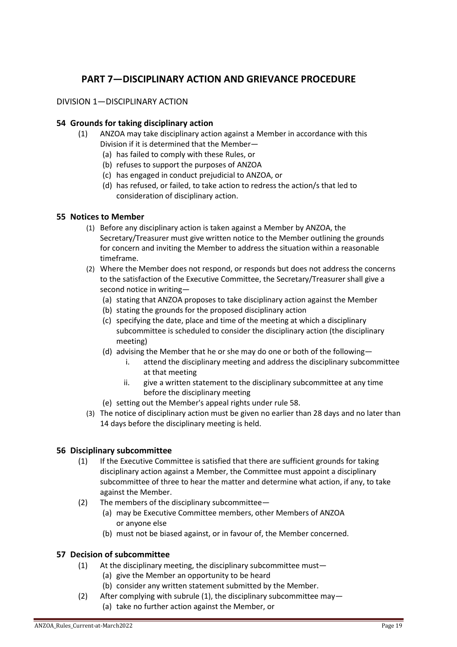## **PART 7—DISCIPLINARY ACTION AND GRIEVANCE PROCEDURE**

## <span id="page-18-1"></span><span id="page-18-0"></span>DIVISION 1—DISCIPLINARY ACTION

## <span id="page-18-2"></span>**54 Grounds for taking disciplinary action**

- (1) ANZOA may take disciplinary action against a Member in accordance with this Division if it is determined that the Member—
	- (a) has failed to comply with these Rules, or
	- (b) refuses to support the purposes of ANZOA
	- (c) has engaged in conduct prejudicial to ANZOA, or
	- (d) has refused, or failed, to take action to redress the action/s that led to consideration of disciplinary action.

## <span id="page-18-3"></span>**55 Notices to Member**

- (1) Before any disciplinary action is taken against a Member by ANZOA, the Secretary/Treasurer must give written notice to the Member outlining the grounds for concern and inviting the Member to address the situation within a reasonable timeframe.
- (2) Where the Member does not respond, or responds but does not address the concerns to the satisfaction of the Executive Committee, the Secretary/Treasurer shall give a second notice in writing—
	- (a) stating that ANZOA proposes to take disciplinary action against the Member
	- (b) stating the grounds for the proposed disciplinary action
	- (c) specifying the date, place and time of the meeting at which a disciplinary subcommittee is scheduled to consider the disciplinary action (the disciplinary meeting)
	- (d) advising the Member that he or she may do one or both of the following
		- i. attend the disciplinary meeting and address the disciplinary subcommittee at that meeting
		- ii. give a written statement to the disciplinary subcommittee at any time before the disciplinary meeting
	- (e) setting out the Member's appeal rights under rule 58.
- (3) The notice of disciplinary action must be given no earlier than 28 days and no later than 14 days before the disciplinary meeting is held.

## <span id="page-18-4"></span>**56 Disciplinary subcommittee**

- (1) If the Executive Committee is satisfied that there are sufficient grounds for taking disciplinary action against a Member, the Committee must appoint a disciplinary subcommittee of three to hear the matter and determine what action, if any, to take against the Member.
- (2) The members of the disciplinary subcommittee—
	- (a) may be Executive Committee members, other Members of ANZOA or anyone else
	- (b) must not be biased against, or in favour of, the Member concerned.

## <span id="page-18-5"></span>**57 Decision of subcommittee**

- (1) At the disciplinary meeting, the disciplinary subcommittee must—
	- (a) give the Member an opportunity to be heard
	- (b) consider any written statement submitted by the Member.
- (2) After complying with subrule (1), the disciplinary subcommittee may— (a) take no further action against the Member, or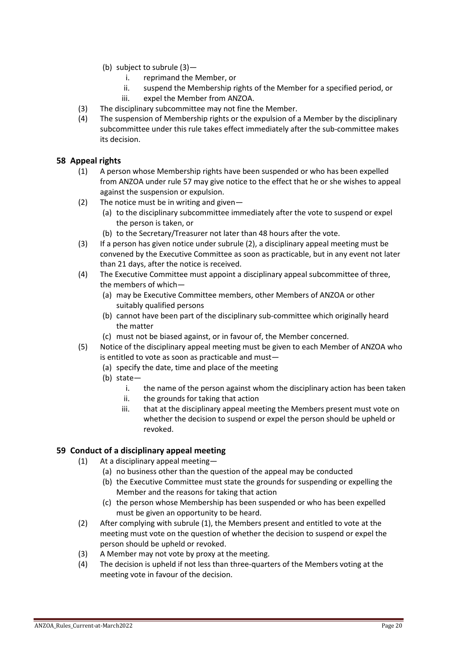- (b) subject to subrule (3)
	- i. reprimand the Member, or
	- ii. suspend the Membership rights of the Member for a specified period, or iii. expel the Member from ANZOA.
- (3) The disciplinary subcommittee may not fine the Member.
- (4) The suspension of Membership rights or the expulsion of a Member by the disciplinary subcommittee under this rule takes effect immediately after the sub-committee makes its decision.

## <span id="page-19-0"></span>**58 Appeal rights**

- (1) A person whose Membership rights have been suspended or who has been expelled from ANZOA under rule 57 may give notice to the effect that he or she wishes to appeal against the suspension or expulsion.
- (2) The notice must be in writing and given—
	- (a) to the disciplinary subcommittee immediately after the vote to suspend or expel the person is taken, or
	- (b) to the Secretary/Treasurer not later than 48 hours after the vote.
- (3) If a person has given notice under subrule (2), a disciplinary appeal meeting must be convened by the Executive Committee as soon as practicable, but in any event not later than 21 days, after the notice is received.
- (4) The Executive Committee must appoint a disciplinary appeal subcommittee of three, the members of which—
	- (a) may be Executive Committee members, other Members of ANZOA or other suitably qualified persons
	- (b) cannot have been part of the disciplinary sub-committee which originally heard the matter
	- (c) must not be biased against, or in favour of, the Member concerned.
- (5) Notice of the disciplinary appeal meeting must be given to each Member of ANZOA who is entitled to vote as soon as practicable and must—
	- (a) specify the date, time and place of the meeting
	- (b) state
		- i. the name of the person against whom the disciplinary action has been taken
		- ii. the grounds for taking that action
		- iii. that at the disciplinary appeal meeting the Members present must vote on whether the decision to suspend or expel the person should be upheld or revoked.

## <span id="page-19-1"></span>**59 Conduct of a disciplinary appeal meeting**

- (1) At a disciplinary appeal meeting—
	- (a) no business other than the question of the appeal may be conducted
	- (b) the Executive Committee must state the grounds for suspending or expelling the Member and the reasons for taking that action
	- (c) the person whose Membership has been suspended or who has been expelled must be given an opportunity to be heard.
- (2) After complying with subrule (1), the Members present and entitled to vote at the meeting must vote on the question of whether the decision to suspend or expel the person should be upheld or revoked.
- (3) A Member may not vote by proxy at the meeting.
- (4) The decision is upheld if not less than three-quarters of the Members voting at the meeting vote in favour of the decision.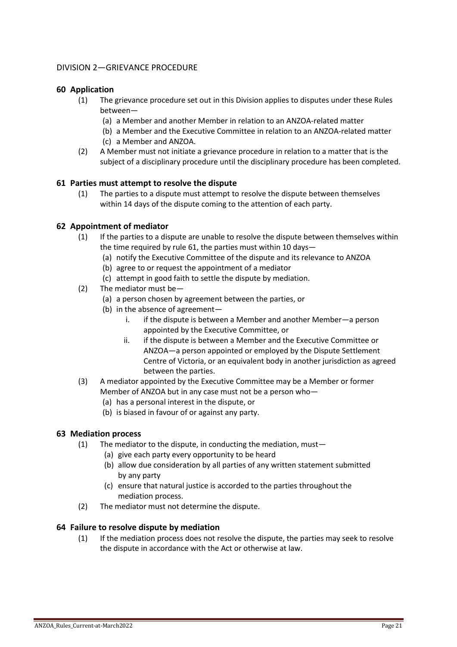## <span id="page-20-0"></span>DIVISION 2—GRIEVANCE PROCEDURE

## <span id="page-20-1"></span>**60 Application**

- (1) The grievance procedure set out in this Division applies to disputes under these Rules between—
	- (a) a Member and another Member in relation to an ANZOA-related matter
	- (b) a Member and the Executive Committee in relation to an ANZOA-related matter
	- (c) a Member and ANZOA.
- (2) A Member must not initiate a grievance procedure in relation to a matter that is the subject of a disciplinary procedure until the disciplinary procedure has been completed.

## <span id="page-20-2"></span>**61 Parties must attempt to resolve the dispute**

(1) The parties to a dispute must attempt to resolve the dispute between themselves within 14 days of the dispute coming to the attention of each party.

## <span id="page-20-3"></span>**62 Appointment of mediator**

- (1) If the parties to a dispute are unable to resolve the dispute between themselves within the time required by rule 61, the parties must within 10 days—
	- (a) notify the Executive Committee of the dispute and its relevance to ANZOA
	- (b) agree to or request the appointment of a mediator
	- (c) attempt in good faith to settle the dispute by mediation.
- (2) The mediator must be—
	- (a) a person chosen by agreement between the parties, or
	- (b) in the absence of agreement
		- i. if the dispute is between a Member and another Member—a person appointed by the Executive Committee, or
		- ii. if the dispute is between a Member and the Executive Committee or ANZOA—a person appointed or employed by the Dispute Settlement Centre of Victoria, or an equivalent body in another jurisdiction as agreed between the parties.
- (3) A mediator appointed by the Executive Committee may be a Member or former Member of ANZOA but in any case must not be a person who—
	- (a) has a personal interest in the dispute, or
	- (b) is biased in favour of or against any party.

## <span id="page-20-4"></span>**63 Mediation process**

- (1) The mediator to the dispute, in conducting the mediation, must—
	- (a) give each party every opportunity to be heard
	- (b) allow due consideration by all parties of any written statement submitted by any party
	- (c) ensure that natural justice is accorded to the parties throughout the mediation process.
- (2) The mediator must not determine the dispute.

### <span id="page-20-5"></span>**64 Failure to resolve dispute by mediation**

(1) If the mediation process does not resolve the dispute, the parties may seek to resolve the dispute in accordance with the Act or otherwise at law.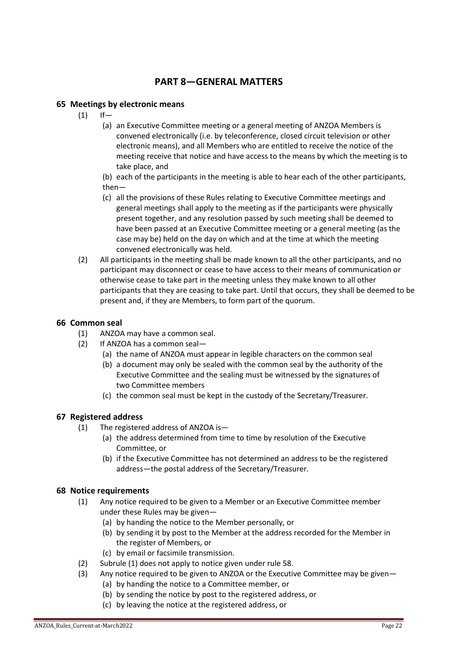## **PART 8—GENERAL MATTERS**

## <span id="page-21-1"></span><span id="page-21-0"></span>**65 Meetings by electronic means**

- $(1)$  If—
	- (a) an Executive Committee meeting or a general meeting of ANZOA Members is convened electronically (i.e. by teleconference, closed circuit television or other electronic means), and all Members who are entitled to receive the notice of the meeting receive that notice and have access to the means by which the meeting is to take place, and
	- (b) each of the participants in the meeting is able to hear each of the other participants,
	- then—
	- (c) all the provisions of these Rules relating to Executive Committee meetings and general meetings shall apply to the meeting as if the participants were physically present together, and any resolution passed by such meeting shall be deemed to have been passed at an Executive Committee meeting or a general meeting (as the case may be) held on the day on which and at the time at which the meeting convened electronically was held.
- (2) All participants in the meeting shall be made known to all the other participants, and no participant may disconnect or cease to have access to their means of communication or otherwise cease to take part in the meeting unless they make known to all other participants that they are ceasing to take part. Until that occurs, they shall be deemed to be present and, if they are Members, to form part of the quorum.

## <span id="page-21-2"></span>**66 Common seal**

- (1) ANZOA may have a common seal.
- (2) If ANZOA has a common seal—
	- (a) the name of ANZOA must appear in legible characters on the common seal
	- (b) a document may only be sealed with the common seal by the authority of the Executive Committee and the sealing must be witnessed by the signatures of two Committee members
	- (c) the common seal must be kept in the custody of the Secretary/Treasurer.

## <span id="page-21-3"></span>**67 Registered address**

- (1) The registered address of ANZOA is—
	- (a) the address determined from time to time by resolution of the Executive Committee, or
	- (b) if the Executive Committee has not determined an address to be the registered address—the postal address of the Secretary/Treasurer.

## <span id="page-21-4"></span>**68 Notice requirements**

- (1) Any notice required to be given to a Member or an Executive Committee member under these Rules may be given—
	- (a) by handing the notice to the Member personally, or
	- (b) by sending it by post to the Member at the address recorded for the Member in the register of Members, or
	- (c) by email or facsimile transmission.
- (2) Subrule (1) does not apply to notice given under rule 58.
- (3) Any notice required to be given to ANZOA or the Executive Committee may be given—
	- (a) by handing the notice to a Committee member, or
	- (b) by sending the notice by post to the registered address, or
	- (c) by leaving the notice at the registered address, or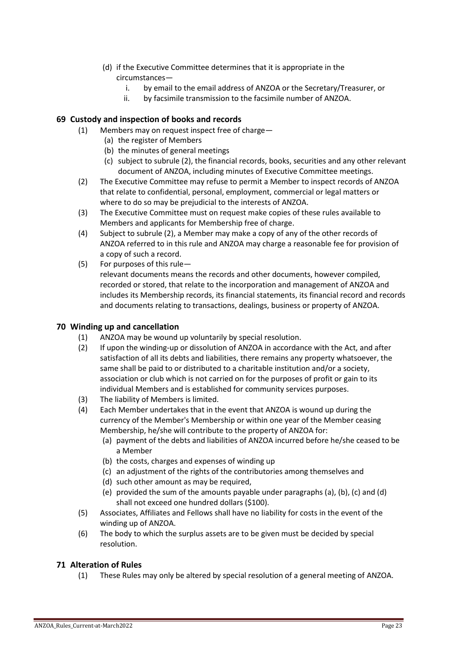- (d) if the Executive Committee determines that it is appropriate in the circumstances
	- i. by email to the email address of ANZOA or the Secretary/Treasurer, or<br>ii. by facsimile transmission to the facsimile number of ANZOA.
	- by facsimile transmission to the facsimile number of ANZOA.

## <span id="page-22-0"></span>**69 Custody and inspection of books and records**

- (1) Members may on request inspect free of charge—
	- (a) the register of Members
	- (b) the minutes of general meetings
	- (c) subject to subrule (2), the financial records, books, securities and any other relevant document of ANZOA, including minutes of Executive Committee meetings.
- (2) The Executive Committee may refuse to permit a Member to inspect records of ANZOA that relate to confidential, personal, employment, commercial or legal matters or where to do so may be prejudicial to the interests of ANZOA.
- (3) The Executive Committee must on request make copies of these rules available to Members and applicants for Membership free of charge.
- (4) Subject to subrule (2), a Member may make a copy of any of the other records of ANZOA referred to in this rule and ANZOA may charge a reasonable fee for provision of a copy of such a record.
- (5) For purposes of this rule relevant documents means the records and other documents, however compiled, recorded or stored, that relate to the incorporation and management of ANZOA and includes its Membership records, its financial statements, its financial record and records and documents relating to transactions, dealings, business or property of ANZOA.

## <span id="page-22-1"></span>**70 Winding up and cancellation**

- (1) ANZOA may be wound up voluntarily by special resolution.
- (2) If upon the winding-up or dissolution of ANZOA in accordance with the Act, and after satisfaction of all its debts and liabilities, there remains any property whatsoever, the same shall be paid to or distributed to a charitable institution and/or a society, association or club which is not carried on for the purposes of profit or gain to its individual Members and is established for community services purposes.
- (3) The liability of Members is limited.
- (4) Each Member undertakes that in the event that ANZOA is wound up during the currency of the Member's Membership or within one year of the Member ceasing Membership, he/she will contribute to the property of ANZOA for:
	- (a) payment of the debts and liabilities of ANZOA incurred before he/she ceased to be a Member
	- (b) the costs, charges and expenses of winding up
	- (c) an adjustment of the rights of the contributories among themselves and
	- (d) such other amount as may be required,
	- (e) provided the sum of the amounts payable under paragraphs (a), (b), (c) and (d) shall not exceed one hundred dollars (\$100).
- (5) Associates, Affiliates and Fellows shall have no liability for costs in the event of the winding up of ANZOA.
- (6) The body to which the surplus assets are to be given must be decided by special resolution.

## <span id="page-22-2"></span>**71 Alteration of Rules**

(1) These Rules may only be altered by special resolution of a general meeting of ANZOA.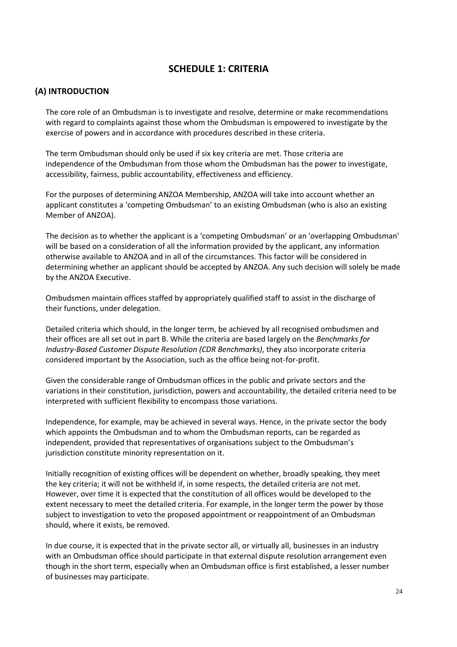## **SCHEDULE 1: CRITERIA**

## <span id="page-23-0"></span>**(A) INTRODUCTION**

The core role of an Ombudsman is to investigate and resolve, determine or make recommendations with regard to complaints against those whom the Ombudsman is empowered to investigate by the exercise of powers and in accordance with procedures described in these criteria.

The term Ombudsman should only be used if six key criteria are met. Those criteria are independence of the Ombudsman from those whom the Ombudsman has the power to investigate, accessibility, fairness, public accountability, effectiveness and efficiency.

For the purposes of determining ANZOA Membership, ANZOA will take into account whether an applicant constitutes a 'competing Ombudsman' to an existing Ombudsman (who is also an existing Member of ANZOA).

The decision as to whether the applicant is a 'competing Ombudsman' or an 'overlapping Ombudsman' will be based on a consideration of all the information provided by the applicant, any information otherwise available to ANZOA and in all of the circumstances. This factor will be considered in determining whether an applicant should be accepted by ANZOA. Any such decision will solely be made by the ANZOA Executive.

Ombudsmen maintain offices staffed by appropriately qualified staff to assist in the discharge of their functions, under delegation.

Detailed criteria which should, in the longer term, be achieved by all recognised ombudsmen and their offices are all set out in part B. While the criteria are based largely on the *Benchmarks for Industry-Based Customer Dispute Resolution (CDR Benchmarks)*, they also incorporate criteria considered important by the Association, such as the office being not-for-profit.

Given the considerable range of Ombudsman offices in the public and private sectors and the variations in their constitution, jurisdiction, powers and accountability, the detailed criteria need to be interpreted with sufficient flexibility to encompass those variations.

Independence, for example, may be achieved in several ways. Hence, in the private sector the body which appoints the Ombudsman and to whom the Ombudsman reports, can be regarded as independent, provided that representatives of organisations subject to the Ombudsman's jurisdiction constitute minority representation on it.

Initially recognition of existing offices will be dependent on whether, broadly speaking, they meet the key criteria; it will not be withheld if, in some respects, the detailed criteria are not met. However, over time it is expected that the constitution of all offices would be developed to the extent necessary to meet the detailed criteria. For example, in the longer term the power by those subject to investigation to veto the proposed appointment or reappointment of an Ombudsman should, where it exists, be removed.

In due course, it is expected that in the private sector all, or virtually all, businesses in an industry with an Ombudsman office should participate in that external dispute resolution arrangement even though in the short term, especially when an Ombudsman office is first established, a lesser number of businesses may participate.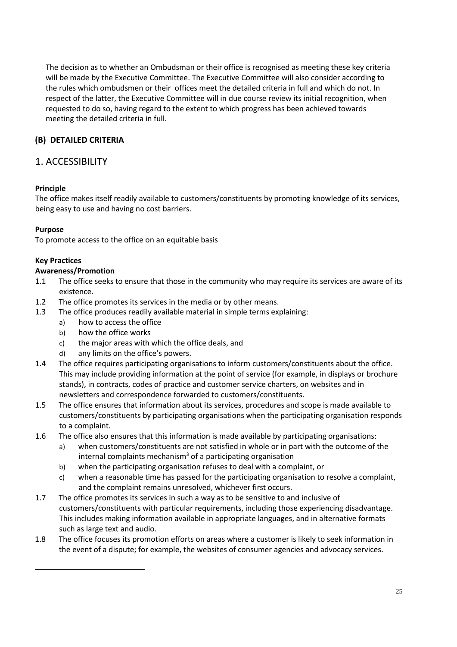The decision as to whether an Ombudsman or their office is recognised as meeting these key criteria will be made by the Executive Committee. The Executive Committee will also consider according to the rules which ombudsmen or their offices meet the detailed criteria in full and which do not. In respect of the latter, the Executive Committee will in due course review its initial recognition, when requested to do so, having regard to the extent to which progress has been achieved towards meeting the detailed criteria in full.

## **(B) DETAILED CRITERIA**

## 1. ACCESSIBILITY

## **Principle**

The office makes itself readily available to customers/constituents by promoting knowledge of its services, being easy to use and having no cost barriers.

## **Purpose**

To promote access to the office on an equitable basis

## **Key Practices**

## **Awareness/Promotion**

- 1.1 The office seeks to ensure that those in the community who may require its services are aware of its existence.
- 1.2 The office promotes its services in the media or by other means.
- 1.3 The office produces readily available material in simple terms explaining:
	- a) how to access the office
	- b) how the office works
	- c) the major areas with which the office deals, and
	- d) any limits on the office's powers.
- 1.4 The office requires participating organisations to inform customers/constituents about the office. This may include providing information at the point of service (for example, in displays or brochure stands), in contracts, codes of practice and customer service charters, on websites and in newsletters and correspondence forwarded to customers/constituents.
- 1.5 The office ensures that information about its services, procedures and scope is made available to customers/constituents by participating organisations when the participating organisation responds to a complaint.
- 1.6 The office also ensures that this information is made available by participating organisations:
	- a) when customers/constituents are not satisfied in whole or in part with the outcome of the internal complaints mechanism<sup>3</sup> of a participating organisation
	- b) when the participating organisation refuses to deal with a complaint, or
	- c) when a reasonable time has passed for the participating organisation to resolve a complaint, and the complaint remains unresolved, whichever first occurs.
- 1.7 The office promotes its services in such a way as to be sensitive to and inclusive of customers/constituents with particular requirements, including those experiencing disadvantage. This includes making information available in appropriate languages, and in alternative formats such as large text and audio.
- 1.8 The office focuses its promotion efforts on areas where a customer is likely to seek information in the event of a dispute; for example, the websites of consumer agencies and advocacy services.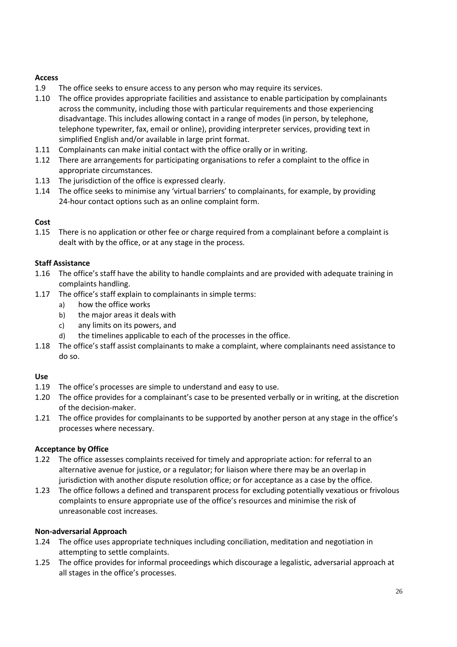## **Access**

- 1.9 The office seeks to ensure access to any person who may require its services.
- 1.10 The office provides appropriate facilities and assistance to enable participation by complainants across the community, including those with particular requirements and those experiencing disadvantage. This includes allowing contact in a range of modes (in person, by telephone, telephone typewriter, fax, email or online), providing interpreter services, providing text in simplified English and/or available in large print format.
- 1.11 Complainants can make initial contact with the office orally or in writing.
- 1.12 There are arrangements for participating organisations to refer a complaint to the office in appropriate circumstances.
- 1.13 The jurisdiction of the office is expressed clearly.
- 1.14 The office seeks to minimise any 'virtual barriers' to complainants, for example, by providing 24-hour contact options such as an online complaint form.

## **Cost**

1.15 There is no application or other fee or charge required from a complainant before a complaint is dealt with by the office, or at any stage in the process.

## **Staff Assistance**

- 1.16 The office's staff have the ability to handle complaints and are provided with adequate training in complaints handling.
- 1.17 The office's staff explain to complainants in simple terms:
	- a) how the office works
	- b) the major areas it deals with
	- c) any limits on its powers, and
	- d) the timelines applicable to each of the processes in the office.
- 1.18 The office's staff assist complainants to make a complaint, where complainants need assistance to do so.

### **Use**

- 1.19 The office's processes are simple to understand and easy to use.
- 1.20 The office provides for a complainant's case to be presented verbally or in writing, at the discretion of the decision-maker.
- 1.21 The office provides for complainants to be supported by another person at any stage in the office's processes where necessary.

### **Acceptance by Office**

- 1.22 The office assesses complaints received for timely and appropriate action: for referral to an alternative avenue for justice, or a regulator; for liaison where there may be an overlap in jurisdiction with another dispute resolution office; or for acceptance as a case by the office.
- 1.23 The office follows a defined and transparent process for excluding potentially vexatious or frivolous complaints to ensure appropriate use of the office's resources and minimise the risk of unreasonable cost increases.

### **Non-adversarial Approach**

- 1.24 The office uses appropriate techniques including conciliation, meditation and negotiation in attempting to settle complaints.
- 1.25 The office provides for informal proceedings which discourage a legalistic, adversarial approach at all stages in the office's processes.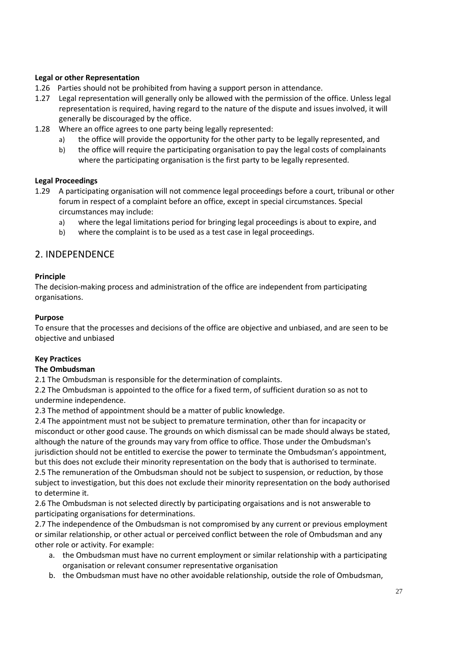## **Legal or other Representation**

- 1.26 Parties should not be prohibited from having a support person in attendance.
- 1.27 Legal representation will generally only be allowed with the permission of the office. Unless legal representation is required, having regard to the nature of the dispute and issues involved, it will generally be discouraged by the office.
- 1.28 Where an office agrees to one party being legally represented:
	- a) the office will provide the opportunity for the other party to be legally represented, and
	- b) the office will require the participating organisation to pay the legal costs of complainants where the participating organisation is the first party to be legally represented.

## **Legal Proceedings**

- 1.29 A participating organisation will not commence legal proceedings before a court, tribunal or other forum in respect of a complaint before an office, except in special circumstances. Special circumstances may include:
	- a) where the legal limitations period for bringing legal proceedings is about to expire, and
	- b) where the complaint is to be used as a test case in legal proceedings.

## 2. INDEPENDENCE

## **Principle**

The decision-making process and administration of the office are independent from participating organisations.

## **Purpose**

To ensure that the processes and decisions of the office are objective and unbiased, and are seen to be objective and unbiased

## **Key Practices**

### **The Ombudsman**

2.1 The Ombudsman is responsible for the determination of complaints.

2.2 The Ombudsman is appointed to the office for a fixed term, of sufficient duration so as not to undermine independence.

2.3 The method of appointment should be a matter of public knowledge.

2.4 The appointment must not be subject to premature termination, other than for incapacity or misconduct or other good cause. The grounds on which dismissal can be made should always be stated, although the nature of the grounds may vary from office to office. Those under the Ombudsman's jurisdiction should not be entitled to exercise the power to terminate the Ombudsman's appointment, but this does not exclude their minority representation on the body that is authorised to terminate. 2.5 The remuneration of the Ombudsman should not be subject to suspension, or reduction, by those subject to investigation, but this does not exclude their minority representation on the body authorised

to determine it.

2.6 The Ombudsman is not selected directly by participating orgaisations and is not answerable to participating organisations for determinations.

2.7 The independence of the Ombudsman is not compromised by any current or previous employment or similar relationship, or other actual or perceived conflict between the role of Ombudsman and any other role or activity. For example:

- a. the Ombudsman must have no current employment or similar relationship with a participating organisation or relevant consumer representative organisation
- b. the Ombudsman must have no other avoidable relationship, outside the role of Ombudsman,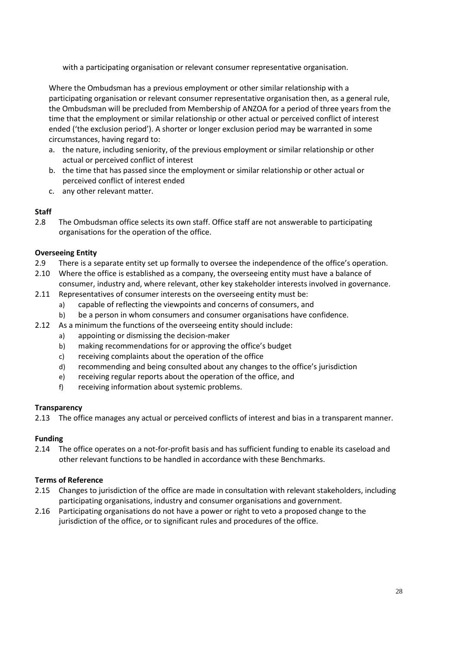with a participating organisation or relevant consumer representative organisation.

Where the Ombudsman has a previous employment or other similar relationship with a participating organisation or relevant consumer representative organisation then, as a general rule, the Ombudsman will be precluded from Membership of ANZOA for a period of three years from the time that the employment or similar relationship or other actual or perceived conflict of interest ended ('the exclusion period'). A shorter or longer exclusion period may be warranted in some circumstances, having regard to:

- a. the nature, including seniority, of the previous employment or similar relationship or other actual or perceived conflict of interest
- b. the time that has passed since the employment or similar relationship or other actual or perceived conflict of interest ended
- c. any other relevant matter.

## **Staff**

2.8 The Ombudsman office selects its own staff. Office staff are not answerable to participating organisations for the operation of the office.

## **Overseeing Entity**

- 2.9 There is a separate entity set up formally to oversee the independence of the office's operation.
- 2.10 Where the office is established as a company, the overseeing entity must have a balance of consumer, industry and, where relevant, other key stakeholder interests involved in governance.
- 2.11 Representatives of consumer interests on the overseeing entity must be:
	- a) capable of reflecting the viewpoints and concerns of consumers, and
	- b) be a person in whom consumers and consumer organisations have confidence.
- 2.12 As a minimum the functions of the overseeing entity should include:
	- a) appointing or dismissing the decision-maker
	- b) making recommendations for or approving the office's budget
	- c) receiving complaints about the operation of the office
	- d) recommending and being consulted about any changes to the office's jurisdiction
	- e) receiving regular reports about the operation of the office, and
	- f) receiving information about systemic problems.

### **Transparency**

2.13 The office manages any actual or perceived conflicts of interest and bias in a transparent manner.

## **Funding**

2.14 The office operates on a not-for-profit basis and has sufficient funding to enable its caseload and other relevant functions to be handled in accordance with these Benchmarks.

### **Terms of Reference**

- 2.15 Changes to jurisdiction of the office are made in consultation with relevant stakeholders, including participating organisations, industry and consumer organisations and government.
- 2.16 Participating organisations do not have a power or right to veto a proposed change to the jurisdiction of the office, or to significant rules and procedures of the office.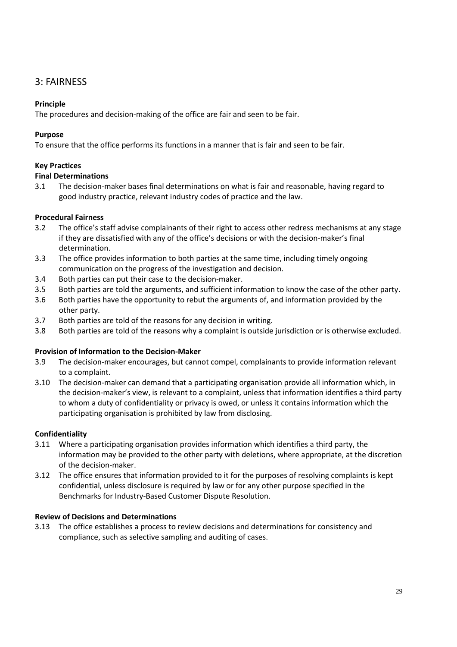## 3: FAIRNESS

## **Principle**

The procedures and decision-making of the office are fair and seen to be fair.

## **Purpose**

To ensure that the office performs its functions in a manner that is fair and seen to be fair.

## **Key Practices**

## **Final Determinations**

3.1 The decision-maker bases final determinations on what is fair and reasonable, having regard to good industry practice, relevant industry codes of practice and the law.

## **Procedural Fairness**

- 3.2 The office's staff advise complainants of their right to access other redress mechanisms at any stage if they are dissatisfied with any of the office's decisions or with the decision-maker's final determination.
- 3.3 The office provides information to both parties at the same time, including timely ongoing communication on the progress of the investigation and decision.
- 3.4 Both parties can put their case to the decision-maker.
- 3.5 Both parties are told the arguments, and sufficient information to know the case of the other party.
- 3.6 Both parties have the opportunity to rebut the arguments of, and information provided by the other party.
- 3.7 Both parties are told of the reasons for any decision in writing.
- 3.8 Both parties are told of the reasons why a complaint is outside jurisdiction or is otherwise excluded.

## **Provision of Information to the Decision-Maker**

- 3.9 The decision-maker encourages, but cannot compel, complainants to provide information relevant to a complaint.
- 3.10 The decision-maker can demand that a participating organisation provide all information which, in the decision-maker's view, is relevant to a complaint, unless that information identifies a third party to whom a duty of confidentiality or privacy is owed, or unless it contains information which the participating organisation is prohibited by law from disclosing.

## **Confidentiality**

- 3.11 Where a participating organisation provides information which identifies a third party, the information may be provided to the other party with deletions, where appropriate, at the discretion of the decision-maker.
- 3.12 The office ensures that information provided to it for the purposes of resolving complaints is kept confidential, unless disclosure is required by law or for any other purpose specified in the Benchmarks for Industry-Based Customer Dispute Resolution.

## **Review of Decisions and Determinations**

3.13 The office establishes a process to review decisions and determinations for consistency and compliance, such as selective sampling and auditing of cases.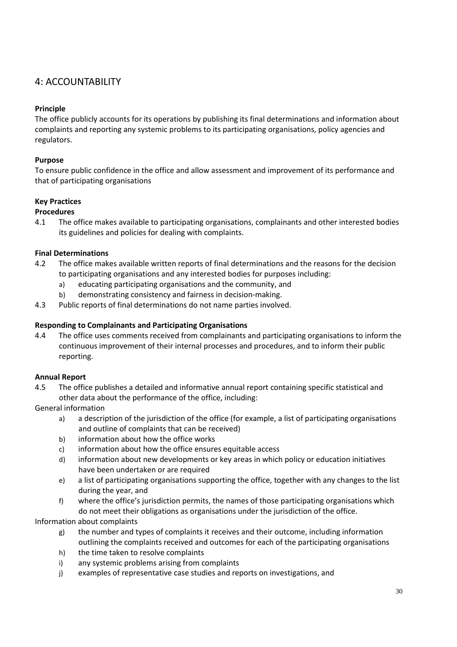## 4: ACCOUNTABILITY

## **Principle**

The office publicly accounts for its operations by publishing its final determinations and information about complaints and reporting any systemic problems to its participating organisations, policy agencies and regulators.

## **Purpose**

To ensure public confidence in the office and allow assessment and improvement of its performance and that of participating organisations

## **Key Practices**

## **Procedures**

4.1 The office makes available to participating organisations, complainants and other interested bodies its guidelines and policies for dealing with complaints.

## **Final Determinations**

- 4.2 The office makes available written reports of final determinations and the reasons for the decision to participating organisations and any interested bodies for purposes including:
	- a) educating participating organisations and the community, and
	- b) demonstrating consistency and fairness in decision-making.
- 4.3 Public reports of final determinations do not name parties involved.

## **Responding to Complainants and Participating Organisations**

4.4 The office uses comments received from complainants and participating organisations to inform the continuous improvement of their internal processes and procedures, and to inform their public reporting.

## **Annual Report**

- 4.5 The office publishes a detailed and informative annual report containing specific statistical and other data about the performance of the office, including:
- General information
	- a) a description of the jurisdiction of the office (for example, a list of participating organisations and outline of complaints that can be received)
	- b) information about how the office works
	- c) information about how the office ensures equitable access
	- d) information about new developments or key areas in which policy or education initiatives have been undertaken or are required
	- e) a list of participating organisations supporting the office, together with any changes to the list during the year, and
	- f) where the office's jurisdiction permits, the names of those participating organisations which do not meet their obligations as organisations under the jurisdiction of the office.

Information about complaints

- g) the number and types of complaints it receives and their outcome, including information outlining the complaints received and outcomes for each of the participating organisations
- h) the time taken to resolve complaints
- i) any systemic problems arising from complaints
- j) examples of representative case studies and reports on investigations, and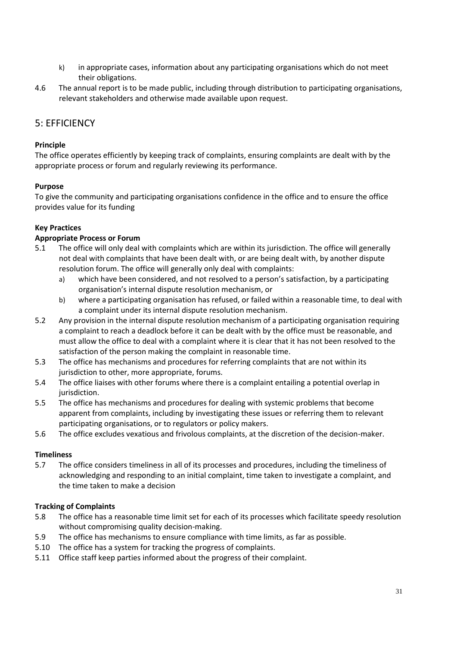- k) in appropriate cases, information about any participating organisations which do not meet their obligations.
- 4.6 The annual report is to be made public, including through distribution to participating organisations, relevant stakeholders and otherwise made available upon request.

## 5: EFFICIENCY

## **Principle**

The office operates efficiently by keeping track of complaints, ensuring complaints are dealt with by the appropriate process or forum and regularly reviewing its performance.

## **Purpose**

To give the community and participating organisations confidence in the office and to ensure the office provides value for its funding

## **Key Practices**

## **Appropriate Process or Forum**

- 5.1 The office will only deal with complaints which are within its jurisdiction. The office will generally not deal with complaints that have been dealt with, or are being dealt with, by another dispute resolution forum. The office will generally only deal with complaints:
	- a) which have been considered, and not resolved to a person's satisfaction, by a participating organisation's internal dispute resolution mechanism, or
	- b) where a participating organisation has refused, or failed within a reasonable time, to deal with a complaint under its internal dispute resolution mechanism.
- 5.2 Any provision in the internal dispute resolution mechanism of a participating organisation requiring a complaint to reach a deadlock before it can be dealt with by the office must be reasonable, and must allow the office to deal with a complaint where it is clear that it has not been resolved to the satisfaction of the person making the complaint in reasonable time.
- 5.3 The office has mechanisms and procedures for referring complaints that are not within its jurisdiction to other, more appropriate, forums.
- 5.4 The office liaises with other forums where there is a complaint entailing a potential overlap in jurisdiction.
- 5.5 The office has mechanisms and procedures for dealing with systemic problems that become apparent from complaints, including by investigating these issues or referring them to relevant participating organisations, or to regulators or policy makers.
- 5.6 The office excludes vexatious and frivolous complaints, at the discretion of the decision-maker.

### **Timeliness**

5.7 The office considers timeliness in all of its processes and procedures, including the timeliness of acknowledging and responding to an initial complaint, time taken to investigate a complaint, and the time taken to make a decision

## **Tracking of Complaints**

- 5.8 The office has a reasonable time limit set for each of its processes which facilitate speedy resolution without compromising quality decision-making.
- 5.9 The office has mechanisms to ensure compliance with time limits, as far as possible.
- 5.10 The office has a system for tracking the progress of complaints.
- 5.11 Office staff keep parties informed about the progress of their complaint.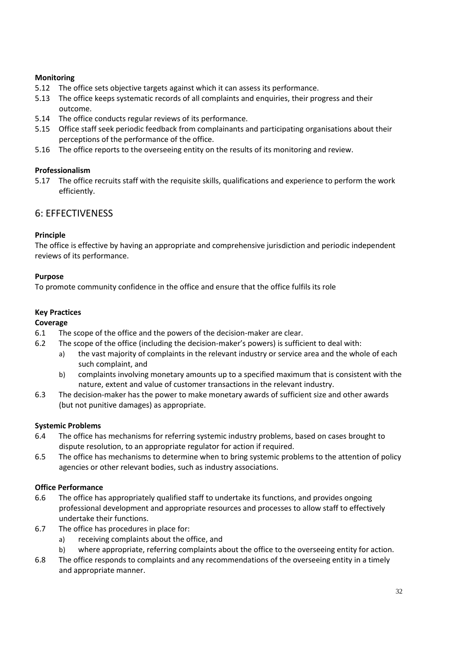## **Monitoring**

- 5.12 The office sets objective targets against which it can assess its performance.
- 5.13 The office keeps systematic records of all complaints and enquiries, their progress and their outcome.
- 5.14 The office conducts regular reviews of its performance.
- 5.15 Office staff seek periodic feedback from complainants and participating organisations about their perceptions of the performance of the office.
- 5.16 The office reports to the overseeing entity on the results of its monitoring and review.

## **Professionalism**

5.17 The office recruits staff with the requisite skills, qualifications and experience to perform the work efficiently.

## 6: EFFECTIVENESS

## **Principle**

The office is effective by having an appropriate and comprehensive jurisdiction and periodic independent reviews of its performance.

## **Purpose**

To promote community confidence in the office and ensure that the office fulfils its role

## **Key Practices**

## **Coverage**

- 6.1 The scope of the office and the powers of the decision-maker are clear.
- 6.2 The scope of the office (including the decision-maker's powers) is sufficient to deal with:
	- a) the vast majority of complaints in the relevant industry or service area and the whole of each such complaint, and
	- b) complaints involving monetary amounts up to a specified maximum that is consistent with the nature, extent and value of customer transactions in the relevant industry.
- 6.3 The decision-maker has the power to make monetary awards of sufficient size and other awards (but not punitive damages) as appropriate.

### **Systemic Problems**

- 6.4 The office has mechanisms for referring systemic industry problems, based on cases brought to dispute resolution, to an appropriate regulator for action if required.
- 6.5 The office has mechanisms to determine when to bring systemic problems to the attention of policy agencies or other relevant bodies, such as industry associations.

### **Office Performance**

- 6.6 The office has appropriately qualified staff to undertake its functions, and provides ongoing professional development and appropriate resources and processes to allow staff to effectively undertake their functions.
- 6.7 The office has procedures in place for:
	- a) receiving complaints about the office, and
	- b) where appropriate, referring complaints about the office to the overseeing entity for action.
- 6.8 The office responds to complaints and any recommendations of the overseeing entity in a timely and appropriate manner.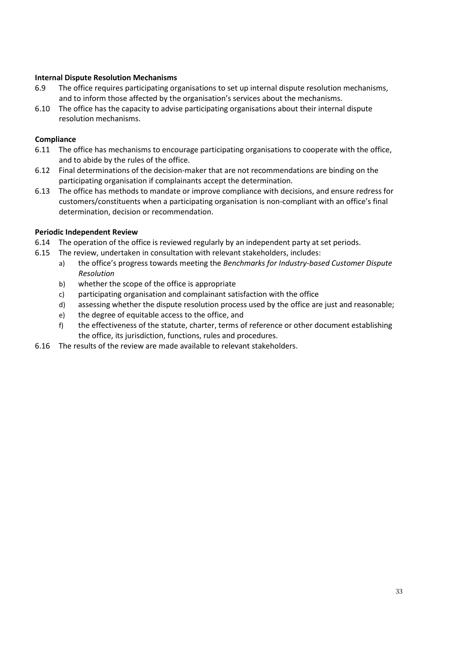## **Internal Dispute Resolution Mechanisms**

- 6.9 The office requires participating organisations to set up internal dispute resolution mechanisms, and to inform those affected by the organisation's services about the mechanisms.
- 6.10 The office has the capacity to advise participating organisations about their internal dispute resolution mechanisms.

## **Compliance**

- 6.11 The office has mechanisms to encourage participating organisations to cooperate with the office, and to abide by the rules of the office.
- 6.12 Final determinations of the decision-maker that are not recommendations are binding on the participating organisation if complainants accept the determination.
- 6.13 The office has methods to mandate or improve compliance with decisions, and ensure redress for customers/constituents when a participating organisation is non-compliant with an office's final determination, decision or recommendation.

## **Periodic Independent Review**

- 6.14 The operation of the office is reviewed regularly by an independent party at set periods.
- 6.15 The review, undertaken in consultation with relevant stakeholders, includes:
	- a) the office's progress towards meeting the *Benchmarks for Industry-based Customer Dispute Resolution*
	- b) whether the scope of the office is appropriate
	- c) participating organisation and complainant satisfaction with the office
	- d) assessing whether the dispute resolution process used by the office are just and reasonable;
	- e) the degree of equitable access to the office, and
	- f) the effectiveness of the statute, charter, terms of reference or other document establishing the office, its jurisdiction, functions, rules and procedures.
- <span id="page-32-0"></span>6.16 The results of the review are made available to relevant stakeholders.